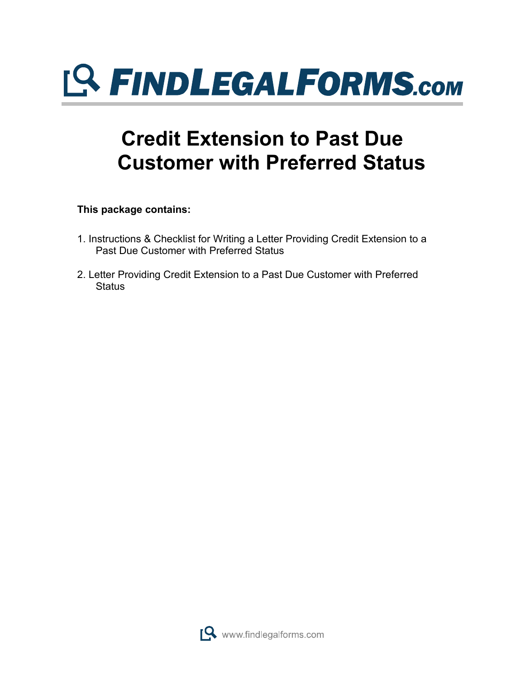

## **Credit Extension to Past Due Customer with Preferred Status**

**This package contains:**

- 1. Instructions & Checklist for Writing a Letter Providing Credit Extension to a Past Due Customer with Preferred Status
- 2. Letter Providing Credit Extension to a Past Due Customer with Preferred **Status**

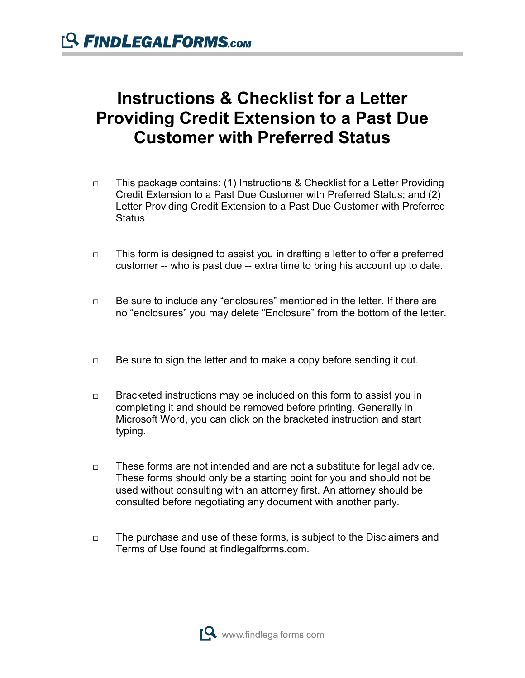## **Instructions & Checklist for a Letter Providing Credit Extension to a Past Due Customer with Preferred Status**

- □ This package contains: (1) Instructions & Checklist for a Letter Providing Credit Extension to a Past Due Customer with Preferred Status; and (2) Letter Providing Credit Extension to a Past Due Customer with Preferred **Status**
- □ This form is designed to assist you in drafting a letter to offer a preferred customer -- who is past due -- extra time to bring his account up to date.
- □ Be sure to include any "enclosures" mentioned in the letter. If there are no "enclosures" you may delete "Enclosure" from the bottom of the letter.
- $\Box$  Be sure to sign the letter and to make a copy before sending it out.
- □ Bracketed instructions may be included on this form to assist you in completing it and should be removed before printing. Generally in Microsoft Word, you can click on the bracketed instruction and start typing.
- □ These forms are not intended and are not a substitute for legal advice. These forms should only be a starting point for you and should not be used without consulting with an attorney first. An attorney should be consulted before negotiating any document with another party.
- □ The purchase and use of these forms, is subject to the Disclaimers and Terms of Use found at findlegalforms.com.